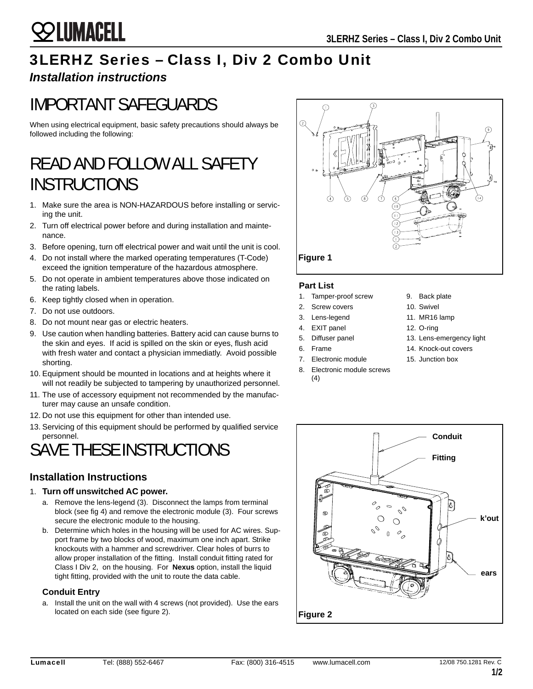## 3LERHZ Series – Class I, Div 2 Combo Unit

## *Installation instructions*

**SSS LUMACELL** 

# IMPORTANT SAFEGUARDS

When using electrical equipment, basic safety precautions should always be followed including the following:

## READ AND FOLLOW ALL SAFETY **INSTRUCTIONS**

- 1. Make sure the area is NON-HAZARDOUS before installing or servicing the unit.
- 2. Turn off electrical power before and during installation and maintenance.
- 3. Before opening, turn off electrical power and wait until the unit is cool.
- 4. Do not install where the marked operating temperatures (T-Code) exceed the ignition temperature of the hazardous atmosphere.
- 5. Do not operate in ambient temperatures above those indicated on the rating labels.
- 6. Keep tightly closed when in operation.
- 7. Do not use outdoors.
- 8. Do not mount near gas or electric heaters.
- 9. Use caution when handling batteries. Battery acid can cause burns to the skin and eyes. If acid is spilled on the skin or eyes, flush acid with fresh water and contact a physician immediatly. Avoid possible shorting.
- 10. Equipment should be mounted in locations and at heights where it will not readily be subjected to tampering by unauthorized personnel.
- 11. The use of accessory equipment not recommended by the manufacturer may cause an unsafe condition.
- 12. Do not use this equipment for other than intended use.
- 13. Servicing of this equipment should be performed by qualified service personnel.

# SAVE THESE INSTRUCTIONS

## **Installation Instructions**

### 1. **Turn off unswitched AC power.**

- a. Remove the lens-legend (3). Disconnect the lamps from terminal block (see fig 4) and remove the electronic module (3). Four screws secure the electronic module to the housing.
- b. Determine which holes in the housing will be used for AC wires. Support frame by two blocks of wood, maximum one inch apart. Strike knockouts with a hammer and screwdriver. Clear holes of burrs to allow proper installation of the fitting. Install conduit fitting rated for Class I Div 2, on the housing. For **Nexus** option, install the liquid tight fitting, provided with the unit to route the data cable.

### **Conduit Entry**

a. Install the unit on the wall with 4 screws (not provided). Use the ears located on each side (see figure 2).



### **Part List**

- 1. Tamper-proof screw
- 2. Screw covers
- 3. Lens-legend
- 4. EXIT panel
- 5. Diffuser panel
- 6. Frame
- 7. Electronic module
- 
- 8. Electronic module screws (4)



- 10. Swivel
- 11. MR16 lamp
- 12. O-ring
- 13. Lens-emergency light
- 14. Knock-out covers
- 15. Junction box
- **Figure 2 Conduit Fitting k'out ears**